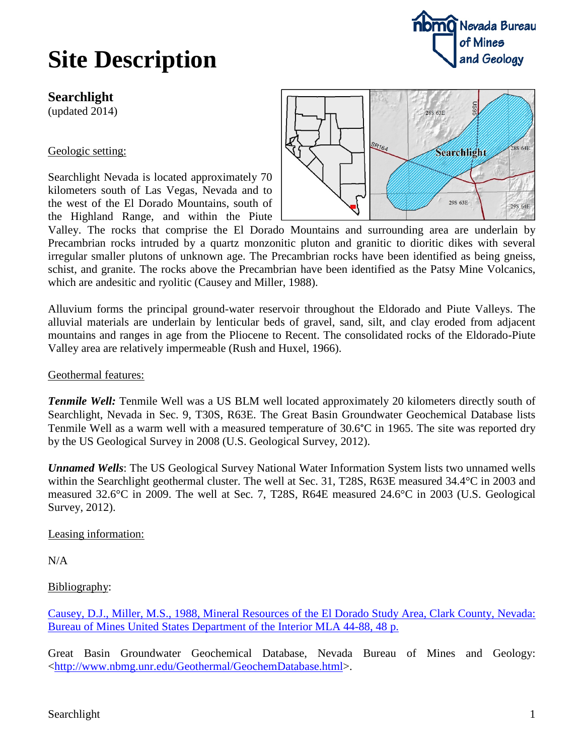## **Site Description**

## **Searchlight**

(updated 2014)

## Geologic setting:

Searchlight Nevada is located approximately 70 kilometers south of Las Vegas, Nevada and to the west of the El Dorado Mountains, south of the Highland Range, and within the Piute



Valley. The rocks that comprise the El Dorado Mountains and surrounding area are underlain by Precambrian rocks intruded by a quartz monzonitic pluton and granitic to dioritic dikes with several irregular smaller plutons of unknown age. The Precambrian rocks have been identified as being gneiss, schist, and granite. The rocks above the Precambrian have been identified as the Patsy Mine Volcanics, which are andesitic and ryolitic (Causey and Miller, 1988).

Alluvium forms the principal ground-water reservoir throughout the Eldorado and Piute Valleys. The alluvial materials are underlain by lenticular beds of gravel, sand, silt, and clay eroded from adjacent mountains and ranges in age from the Pliocene to Recent. The consolidated rocks of the Eldorado-Piute Valley area are relatively impermeable (Rush and Huxel, 1966).

Geothermal features:

*Tenmile Well:* Tenmile Well was a US BLM well located approximately 20 kilometers directly south of Searchlight, Nevada in Sec. 9, T30S, R63E. The Great Basin Groundwater Geochemical Database lists Tenmile Well as a warm well with a measured temperature of 30.6°C in 1965. The site was reported dry by the US Geological Survey in 2008 (U.S. Geological Survey, 2012).

*Unnamed Wells*: The US Geological Survey National Water Information System lists two unnamed wells within the Searchlight geothermal cluster. The well at Sec. 31, T28S, R63E measured 34.4°C in 2003 and measured 32.6°C in 2009. The well at Sec. 7, T28S, R64E measured 24.6°C in 2003 (U.S. Geological Survey, 2012).

Leasing information:

N/A

Bibliography:

[Causey, D.J., Miller, M.S., 1988, Mineral Resources of the El Dorado Study Area, Clark County, Nevada:](http://www.nbmg.unr.edu/dox/mla/mla_44-88.pdf)  [Bureau of Mines United States Department of the Interior MLA 44-88, 48 p.](http://www.nbmg.unr.edu/dox/mla/mla_44-88.pdf)

Great Basin Groundwater Geochemical Database, Nevada Bureau of Mines and Geology: [<http://www.nbmg.unr.edu/Geothermal/GeochemDatabase.html>](http://www.nbmg.unr.edu/Geothermal/GeochemDatabase.html).